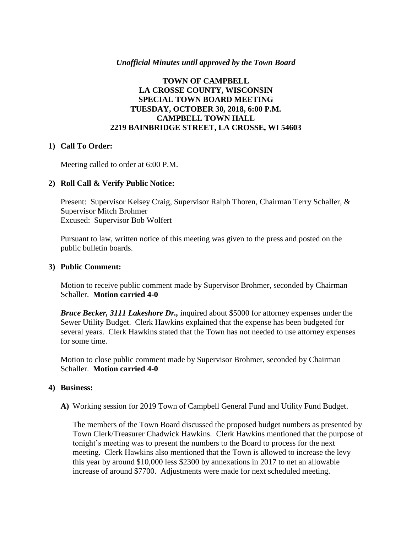### *Unofficial Minutes until approved by the Town Board*

## **TOWN OF CAMPBELL LA CROSSE COUNTY, WISCONSIN SPECIAL TOWN BOARD MEETING TUESDAY, OCTOBER 30, 2018, 6:00 P.M. CAMPBELL TOWN HALL 2219 BAINBRIDGE STREET, LA CROSSE, WI 54603**

#### **1) Call To Order:**

Meeting called to order at 6:00 P.M.

### **2) Roll Call & Verify Public Notice:**

Present: Supervisor Kelsey Craig, Supervisor Ralph Thoren, Chairman Terry Schaller, & Supervisor Mitch Brohmer Excused: Supervisor Bob Wolfert

Pursuant to law, written notice of this meeting was given to the press and posted on the public bulletin boards.

#### **3) Public Comment:**

Motion to receive public comment made by Supervisor Brohmer, seconded by Chairman Schaller. **Motion carried 4-0**

*Bruce Becker, 3111 Lakeshore Dr.,* inquired about \$5000 for attorney expenses under the Sewer Utility Budget. Clerk Hawkins explained that the expense has been budgeted for several years. Clerk Hawkins stated that the Town has not needed to use attorney expenses for some time.

Motion to close public comment made by Supervisor Brohmer, seconded by Chairman Schaller. **Motion carried 4-0**

#### **4) Business:**

**A)** Working session for 2019 Town of Campbell General Fund and Utility Fund Budget.

The members of the Town Board discussed the proposed budget numbers as presented by Town Clerk/Treasurer Chadwick Hawkins. Clerk Hawkins mentioned that the purpose of tonight's meeting was to present the numbers to the Board to process for the next meeting. Clerk Hawkins also mentioned that the Town is allowed to increase the levy this year by around \$10,000 less \$2300 by annexations in 2017 to net an allowable increase of around \$7700. Adjustments were made for next scheduled meeting.